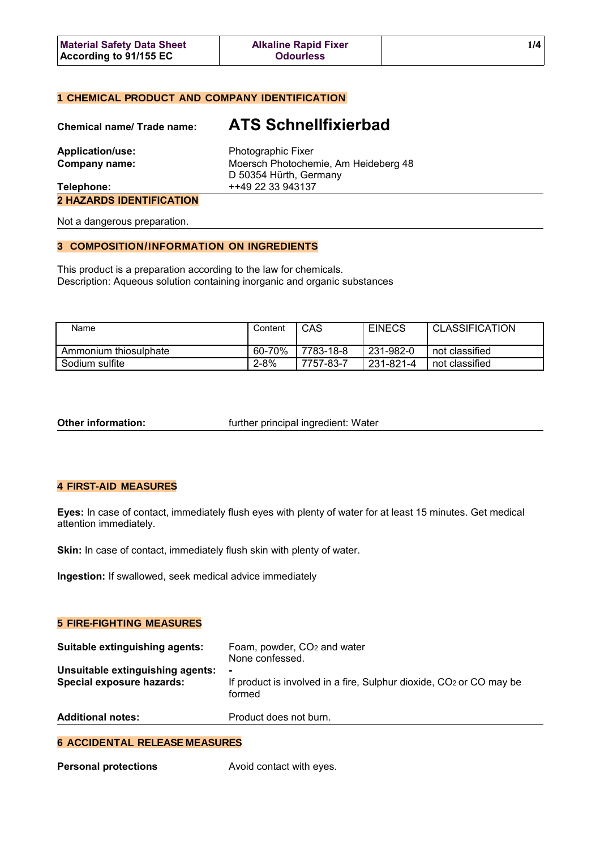| <b>Material Safety Data Sheet</b> | <b>Alkaline Rapid Fixer</b> |  |
|-----------------------------------|-----------------------------|--|
| According to 91/155 EC            | <b>Odourless</b>            |  |

# **1 CHEMICAL PRODUCT AND COMPANY IDENTIFICATION**

| <b>Chemical name/ Trade name:</b> | <b>ATS Schnellfixierbad</b>                                    |
|-----------------------------------|----------------------------------------------------------------|
| <b>Application/use:</b>           | Photographic Fixer                                             |
| Company name:                     | Moersch Photochemie, Am Heideberg 48<br>D 50354 Hürth, Germany |
| Telephone:                        | ++49 22 33 943137                                              |
| <b>2 HAZARDS IDENTIFICATION</b>   |                                                                |
| Not a dangerous preparation.      |                                                                |

### **3 COMPOSITION/INFORMATION ON INGREDIENTS**

This product is a preparation according to the law for chemicals. Description: Aqueous solution containing inorganic and organic substances

| Name                  | Content | CAS       | <b>EINECS</b> | <b>CLASSIFICATION</b> |
|-----------------------|---------|-----------|---------------|-----------------------|
| Ammonium thiosulphate | 60-70%  | 7783-18-8 | 231-982-0     | not classified        |
| Sodium sulfite        | 2-8%    | 7757-83-7 | 231-821-4     | not classified        |

**Other information: further principal ingredient: Water** 

# **4 FIRST-AID MEASURES**

**Eyes:** In case of contact, immediately flush eyes with plenty of water for at least 15 minutes. Get medical attention immediately.

Skin: In case of contact, immediately flush skin with plenty of water.

**Ingestion:** If swallowed, seek medical advice immediately

# **5 FIRE-FIGHTING MEASURES**

| Suitable extinguishing agents:                                | Foam, powder, CO <sub>2</sub> and water<br>None confessed.                                                  |
|---------------------------------------------------------------|-------------------------------------------------------------------------------------------------------------|
| Unsuitable extinguishing agents:<br>Special exposure hazards: | $\blacksquare$<br>If product is involved in a fire, Sulphur dioxide, CO <sub>2</sub> or CO may be<br>formed |
| <b>Additional notes:</b>                                      | Product does not burn.                                                                                      |

### **6 ACCIDENTAL RELEASE MEASURES**

| <b>Personal protections</b> | Avoid contact with eyes. |
|-----------------------------|--------------------------|
|-----------------------------|--------------------------|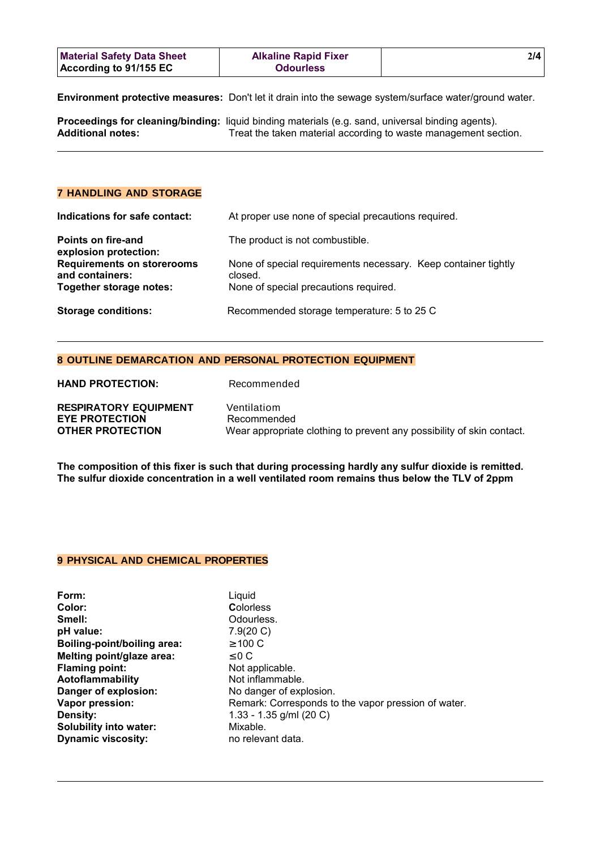| <b>Material Safety Data Sheet</b> | <b>Alkaline Rapid Fixer</b> | 214 |
|-----------------------------------|-----------------------------|-----|
| <b>According to 91/155 EC</b>     | <b>Odourless</b>            |     |

**Environment protective measures:** Don't let it drain into the sewage system/surface water/ground water.

|                          | Proceedings for cleaning/binding: liquid binding materials (e.g. sand, universal binding agents). |
|--------------------------|---------------------------------------------------------------------------------------------------|
| <b>Additional notes:</b> | Treat the taken material according to waste management section.                                   |

# **7 HANDLING AND STORAGE**

| Indications for safe contact:                        | At proper use none of special precautions required.                       |
|------------------------------------------------------|---------------------------------------------------------------------------|
| <b>Points on fire-and</b><br>explosion protection:   | The product is not combustible.                                           |
| <b>Requirements on storerooms</b><br>and containers: | None of special requirements necessary. Keep container tightly<br>closed. |
| Together storage notes:                              | None of special precautions required.                                     |
| <b>Storage conditions:</b>                           | Recommended storage temperature: 5 to 25 C                                |

# **8 OUTLINE DEMARCATION AND PERSONAL PROTECTION EQUIPMENT**

| <b>RESPIRATORY EQUIPMENT</b> | Ventilatiom                                                           |
|------------------------------|-----------------------------------------------------------------------|
| <b>EYE PROTECTION</b>        | Recommended                                                           |
| <b>OTHER PROTECTION</b>      | Wear appropriate clothing to prevent any possibility of skin contact. |

**The composition of this fixer is such that during processing hardly any sulfur dioxide is remitted. The sulfur dioxide concentration in a well ventilated room remains thus below the TLV of 2ppm**

## **9 PHYSICAL AND CHEMICAL PROPERTIES**

**HAND PROTECTION:** Recommended

**Form:** Liquid Smell: **Smell:** Odourless. **pH value:** 7.9(20 C) **Boiling-point/boiling area:** ≥ 100 C **Melting point/glaze area:** ≤ 0 C<br>
Flaming point: Not applicable. **Flaming point:** Aotoflammability<br>
Danger of explosion:<br>
No danger of exp **Density:** 1.33 - 1.35 g/ml (20 C) **Solubility into water:** Mixable. **Dynamic viscosity:** no relevant data.

**Color: C**olorless **Danger of explosion:** No danger of explosion. **Vapor pression:** Remark: Corresponds to the vapor pression of water.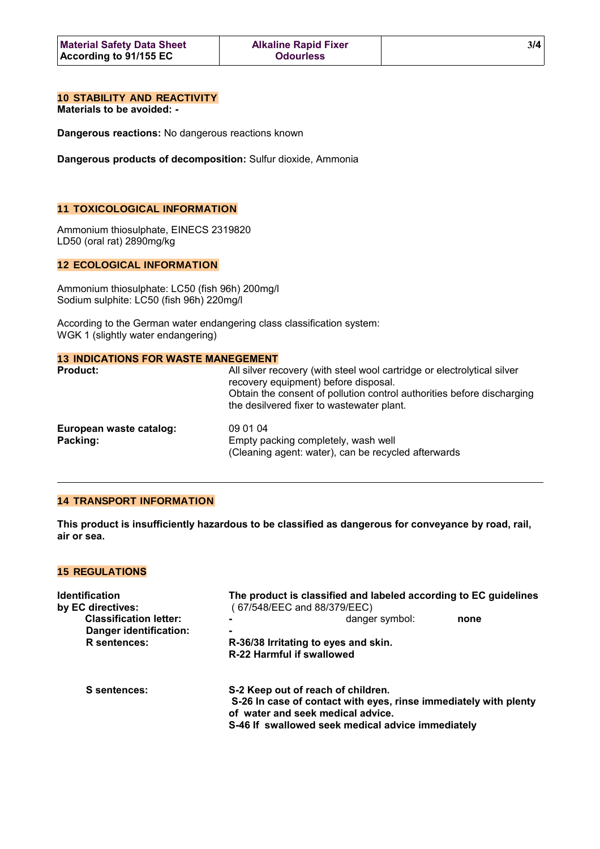# **10 STABILITY AND REACTIVITY**

**Materials to be avoided: -**

**Dangerous reactions:** No dangerous reactions known

**Dangerous products of decomposition:** Sulfur dioxide, Ammonia

# **11 TOXICOLOGICAL INFORMATION**

Ammonium thiosulphate, EINECS 2319820 LD50 (oral rat) 2890mg/kg

## **12 ECOLOGICAL INFORMATION**

Ammonium thiosulphate: LC50 (fish 96h) 200mg/l Sodium sulphite: LC50 (fish 96h) 220mg/l

According to the German water endangering class classification system: WGK 1 (slightly water endangering)

# **13 INDICATIONS FOR WASTE MANEGEMENT**

| <b>Product:</b>                     | All silver recovery (with steel wool cartridge or electrolytical silver<br>recovery equipment) before disposal.<br>Obtain the consent of pollution control authorities before discharging<br>the desilvered fixer to wastewater plant. |
|-------------------------------------|----------------------------------------------------------------------------------------------------------------------------------------------------------------------------------------------------------------------------------------|
| European waste catalog:<br>Packing: | 09 01 04<br>Empty packing completely, wash well<br>(Cleaning agent: water), can be recycled afterwards                                                                                                                                 |

#### **14 TRANSPORT INFORMATION**

**This product is insufficiently hazardous to be classified as dangerous for conveyance by road, rail, air or sea.**

# **15 REGULATIONS**

| <b>Identification</b>         | The product is classified and labeled according to EC guidelines |                                                                                                       |      |
|-------------------------------|------------------------------------------------------------------|-------------------------------------------------------------------------------------------------------|------|
| by EC directives:             |                                                                  | (67/548/EEC and 88/379/EEC)                                                                           |      |
| <b>Classification letter:</b> |                                                                  | danger symbol:                                                                                        | none |
| Danger identification:        |                                                                  |                                                                                                       |      |
| R sentences:                  | R-36/38 Irritating to eyes and skin.                             |                                                                                                       |      |
|                               |                                                                  | R-22 Harmful if swallowed                                                                             |      |
|                               |                                                                  |                                                                                                       |      |
| S sentences:                  |                                                                  | S-2 Keep out of reach of children.                                                                    |      |
|                               |                                                                  | S-26 In case of contact with eyes, rinse immediately with plenty<br>of water and seek medical advice. |      |
|                               |                                                                  | S-46 If swallowed seek medical advice immediately                                                     |      |